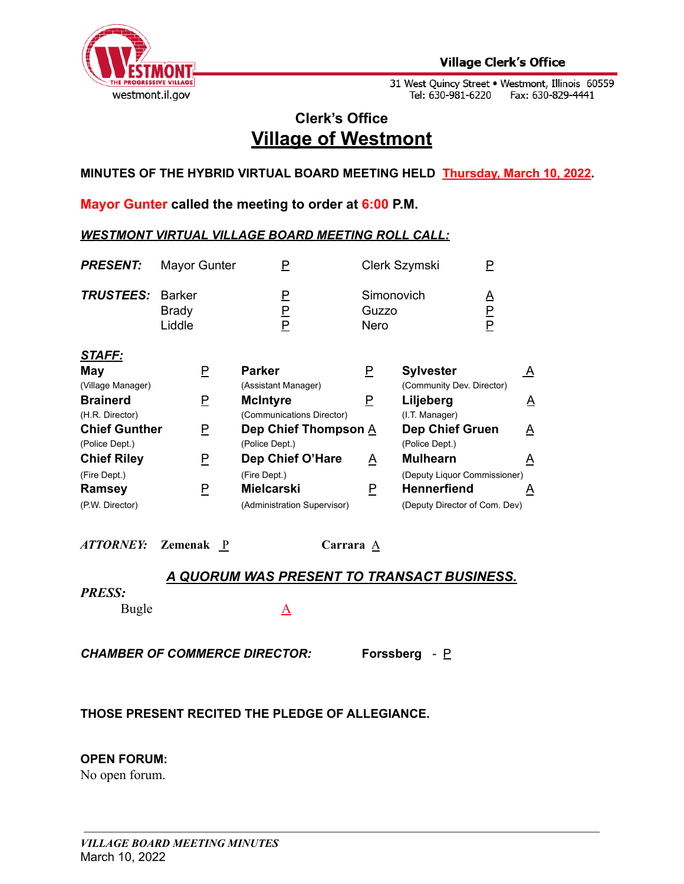

31 West Quincy Street • Westmont, Illinois 60559<br>Tel: 630-981-6220 Fax: 630-829-4441

# **Clerk's Office Village of Westmont**

**MINUTES OF THE HYBRID VIRTUAL BOARD MEETING HELD Thursday, March 10, 2022.**

**Mayor Gunter called the meeting to order at 6:00 P.M.**

# *WESTMONT VIRTUAL VILLAGE BOARD MEETING ROLL CALL:*

| <b>PRESENT:</b>                        | <b>Mayor Gunter</b>                     | Ρ                                            |                             | Clerk Szymski                            | P              |
|----------------------------------------|-----------------------------------------|----------------------------------------------|-----------------------------|------------------------------------------|----------------|
| <b>TRUSTEES:</b>                       | <b>Barker</b><br><b>Brady</b><br>Liddle | P<br>$\overline{\mathsf{F}}$<br>P            | Simonovich<br>Guzzo<br>Nero |                                          | Δ<br>P<br>P    |
| <b>STAFF:</b><br>May                   | P                                       | <b>Parker</b>                                | $\overline{P}$              | <b>Sylvester</b>                         | $\overline{A}$ |
| (Village Manager)                      |                                         | (Assistant Manager)                          |                             | (Community Dev. Director)                |                |
| <b>Brainerd</b><br>(H.R. Director)     | P                                       | <b>McIntyre</b><br>(Communications Director) | P                           | Liljeberg<br>(I.T. Manager)              | A              |
| <b>Chief Gunther</b><br>(Police Dept.) | P                                       | Dep Chief Thompson A<br>(Police Dept.)       |                             | <b>Dep Chief Gruen</b><br>(Police Dept.) | A              |
| <b>Chief Riley</b>                     | P                                       | Dep Chief O'Hare                             | $\overline{A}$              | <b>Mulhearn</b>                          | $\triangle$    |
| (Fire Dept.)                           |                                         | (Fire Dept.)                                 |                             | (Deputy Liquor Commissioner)             |                |
| Ramsey                                 | P                                       | Mielcarski                                   | P                           | <b>Hennerfiend</b>                       | A              |
| (P.W. Director)                        |                                         | (Administration Supervisor)                  |                             | (Deputy Director of Com. Dev)            |                |

*ATTORNEY:* **Zemenak** P **Carrara** A

# *A QUORUM WAS PRESENT TO TRANSACT BUSINESS.*

#### *PRESS:*

Bugle A

*CHAMBER OF COMMERCE DIRECTOR:* **Forssberg** *-* P

# **THOSE PRESENT RECITED THE PLEDGE OF ALLEGIANCE.**

# **OPEN FORUM:**

No open forum.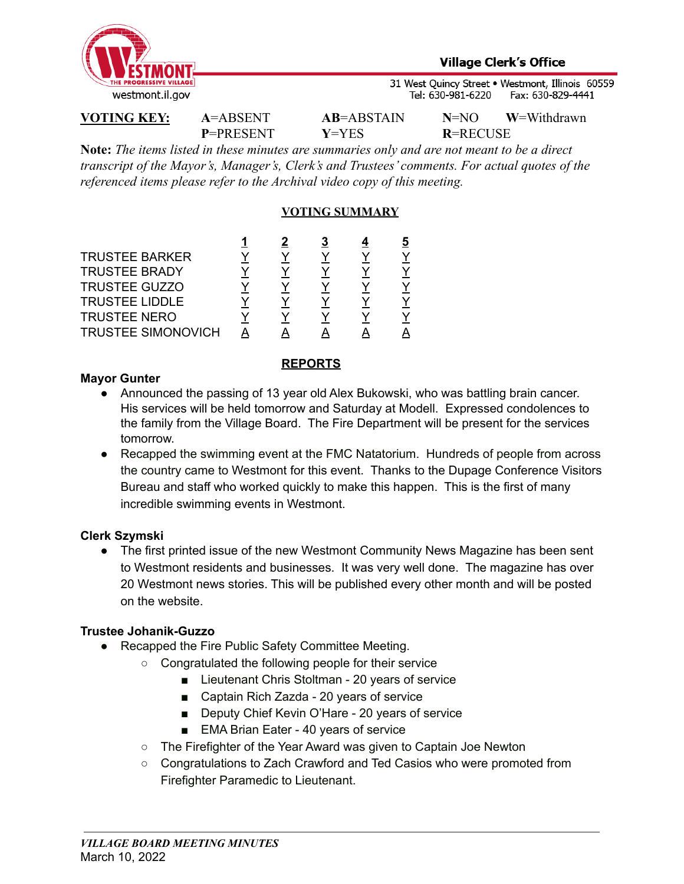

31 West Quincy Street . Westmont, Illinois 60559 Tel: 630-981-6220 Fax: 630-829-4441

**P**=PRESENT **Y**=YES **R**=RECUSE

**VOTING KEY: A**=ABSENT **AB**=ABSTAIN **N**=NO **W**=Withdrawn

**Note:** *The items listed in these minutes are summaries only and are not meant to be a direct transcript of the Mayor's, Manager's, Clerk's and Trustees' comments. For actual quotes of the referenced items please refer to the Archival video copy of this meeting.*

# **VOTING SUMMARY**

| <b>TRUSTEE BARKER</b>     |  |  |  |
|---------------------------|--|--|--|
| <b>TRUSTEE BRADY</b>      |  |  |  |
| <b>TRUSTEE GUZZO</b>      |  |  |  |
| <b>TRUSTEE LIDDLE</b>     |  |  |  |
| <b>TRUSTEE NERO</b>       |  |  |  |
| <b>TRUSTEE SIMONOVICH</b> |  |  |  |

### **REPORTS**

### **Mayor Gunter**

- Announced the passing of 13 year old Alex Bukowski, who was battling brain cancer. His services will be held tomorrow and Saturday at Modell. Expressed condolences to the family from the Village Board. The Fire Department will be present for the services tomorrow.
- Recapped the swimming event at the FMC Natatorium. Hundreds of people from across the country came to Westmont for this event. Thanks to the Dupage Conference Visitors Bureau and staff who worked quickly to make this happen. This is the first of many incredible swimming events in Westmont.

# **Clerk Szymski**

• The first printed issue of the new Westmont Community News Magazine has been sent to Westmont residents and businesses. It was very well done. The magazine has over 20 Westmont news stories. This will be published every other month and will be posted on the website.

# **Trustee Johanik-Guzzo**

- Recapped the Fire Public Safety Committee Meeting.
	- Congratulated the following people for their service
		- Lieutenant Chris Stoltman 20 years of service
		- Captain Rich Zazda 20 years of service
		- Deputy Chief Kevin O'Hare 20 years of service
		- EMA Brian Eater 40 years of service
	- The Firefighter of the Year Award was given to Captain Joe Newton
	- Congratulations to Zach Crawford and Ted Casios who were promoted from Firefighter Paramedic to Lieutenant.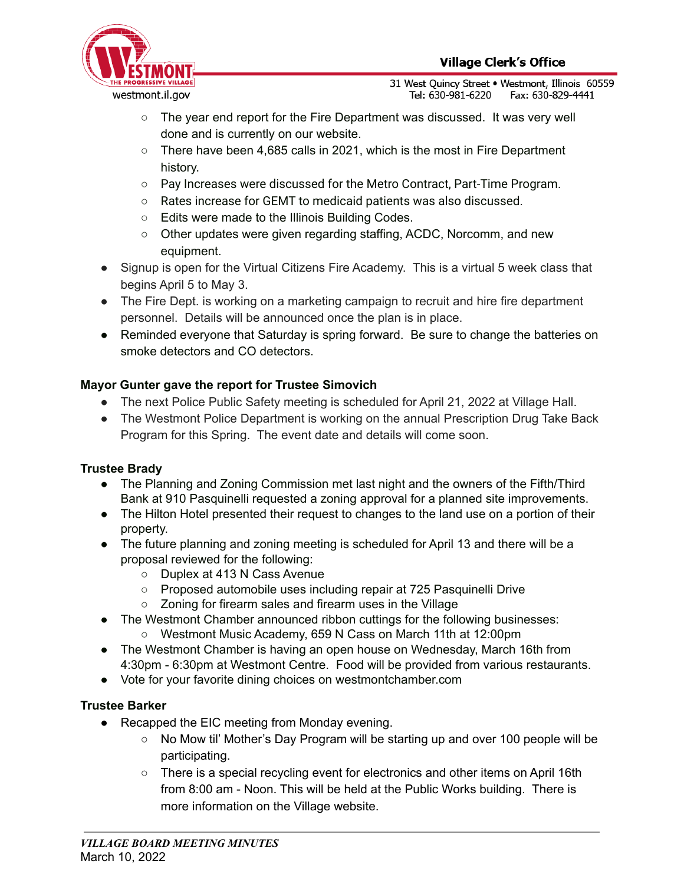

31 West Quincy Street . Westmont, Illinois 60559 Tel: 630-981-6220 Fax: 630-829-4441

- $\circ$  The year end report for the Fire Department was discussed. It was very well done and is currently on our website.
- $\circ$  There have been 4,685 calls in 2021, which is the most in Fire Department history.
- Pay Increases were discussed for the Metro Contract, Part-Time Program.
- Rates increase for GEMT to medicaid patients was also discussed.
- Edits were made to the Illinois Building Codes.
- Other updates were given regarding staffing, ACDC, Norcomm, and new equipment.
- Signup is open for the Virtual Citizens Fire Academy. This is a virtual 5 week class that begins April 5 to May 3.
- The Fire Dept. is working on a marketing campaign to recruit and hire fire department personnel. Details will be announced once the plan is in place.
- Reminded everyone that Saturday is spring forward. Be sure to change the batteries on smoke detectors and CO detectors.

# **Mayor Gunter gave the report for Trustee Simovich**

- The next Police Public Safety meeting is scheduled for April 21, 2022 at Village Hall.
- The Westmont Police Department is working on the annual Prescription Drug Take Back Program for this Spring. The event date and details will come soon.

# **Trustee Brady**

- The Planning and Zoning Commission met last night and the owners of the Fifth/Third Bank at 910 Pasquinelli requested a zoning approval for a planned site improvements.
- The Hilton Hotel presented their request to changes to the land use on a portion of their property.
- The future planning and zoning meeting is scheduled for April 13 and there will be a proposal reviewed for the following:
	- Duplex at 413 N Cass Avenue
	- Proposed automobile uses including repair at 725 Pasquinelli Drive
	- Zoning for firearm sales and firearm uses in the Village
- The Westmont Chamber announced ribbon cuttings for the following businesses:
	- Westmont Music Academy, 659 N Cass on March 11th at 12:00pm
- The Westmont Chamber is having an open house on Wednesday, March 16th from 4:30pm - 6:30pm at Westmont Centre. Food will be provided from various restaurants.
- Vote for your favorite dining choices on westmontchamber.com

# **Trustee Barker**

- Recapped the EIC meeting from Monday evening.
	- No Mow til' Mother's Day Program will be starting up and over 100 people will be participating.
	- There is a special recycling event for electronics and other items on April 16th from 8:00 am - Noon. This will be held at the Public Works building. There is more information on the Village website.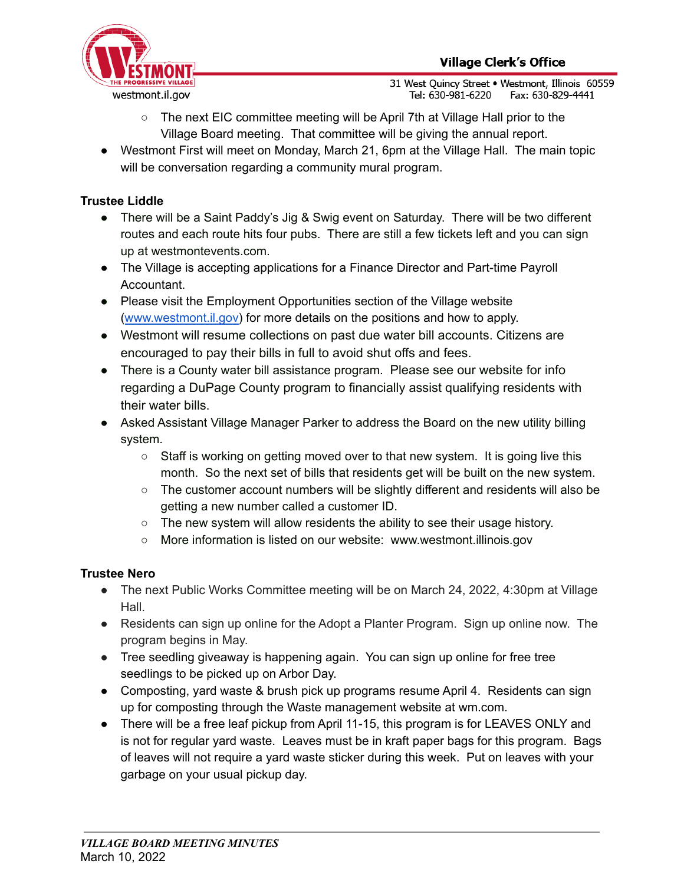

31 West Quincy Street . Westmont, Illinois 60559 Tel: 630-981-6220 Fax: 630-829-4441

- The next EIC committee meeting will be April 7th at Village Hall prior to the Village Board meeting. That committee will be giving the annual report.
- Westmont First will meet on Monday, March 21, 6pm at the Village Hall. The main topic will be conversation regarding a community mural program.

# **Trustee Liddle**

- There will be a Saint Paddy's Jig & Swig event on Saturday. There will be two different routes and each route hits four pubs. There are still a few tickets left and you can sign up at westmontevents.com.
- The Village is accepting applications for a Finance Director and Part-time Payroll Accountant.
- Please visit the Employment Opportunities section of the Village website ([www.westmont.il.gov\)](http://www.westmont.il.gov) for more details on the positions and how to apply.
- Westmont will resume collections on past due water bill accounts. Citizens are encouraged to pay their bills in full to avoid shut offs and fees.
- There is a County water bill assistance program. Please see our website for info regarding a DuPage County program to financially assist qualifying residents with their water bills.
- Asked Assistant Village Manager Parker to address the Board on the new utility billing system.
	- $\circ$  Staff is working on getting moved over to that new system. It is going live this month. So the next set of bills that residents get will be built on the new system.
	- The customer account numbers will be slightly different and residents will also be getting a new number called a customer ID.
	- The new system will allow residents the ability to see their usage history.
	- More information is listed on our website: www.westmont.illinois.gov

# **Trustee Nero**

- The next Public Works Committee meeting will be on March 24, 2022, 4:30pm at Village Hall.
- **●** Residents can sign up online for the Adopt a Planter Program. Sign up online now. The program begins in May.
- Tree seedling giveaway is happening again. You can sign up online for free tree seedlings to be picked up on Arbor Day.
- Composting, yard waste & brush pick up programs resume April 4. Residents can sign up for composting through the Waste management website at wm.com.
- There will be a free leaf pickup from April 11-15, this program is for LEAVES ONLY and is not for regular yard waste. Leaves must be in kraft paper bags for this program. Bags of leaves will not require a yard waste sticker during this week. Put on leaves with your garbage on your usual pickup day.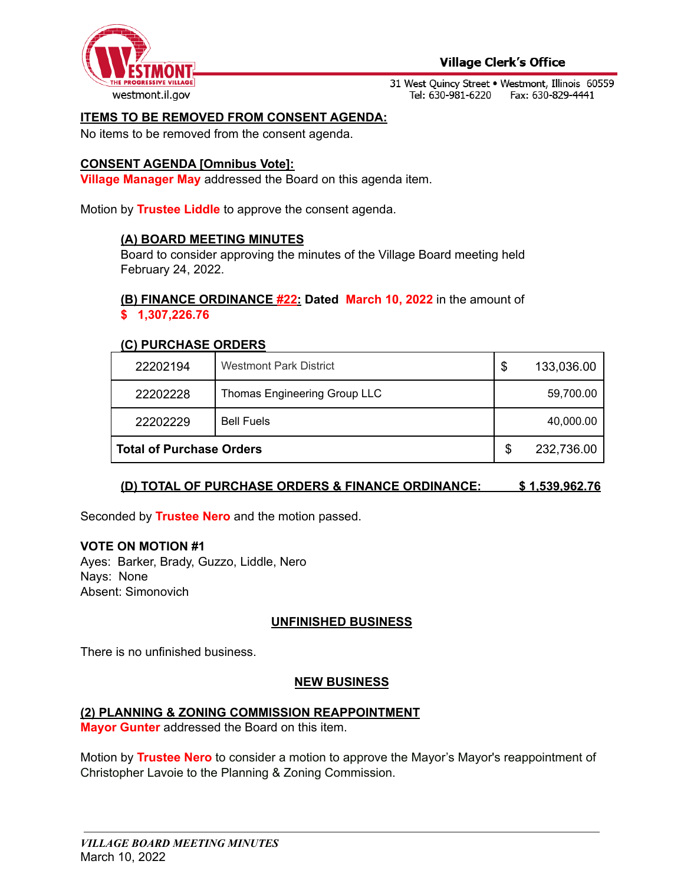

### **Village Clerk's Office**

31 West Quincy Street . Westmont, Illinois 60559 Tel: 630-981-6220 Fax: 630-829-4441

#### **ITEMS TO BE REMOVED FROM CONSENT AGENDA:**

No items to be removed from the consent agenda.

#### **CONSENT AGENDA [Omnibus Vote]:**

**Village Manager May** addressed the Board on this agenda item.

Motion by **Trustee Liddle** to approve the consent agenda.

#### **(A) BOARD MEETING MINUTES**

Board to consider approving the minutes of the Village Board meeting held February 24, 2022.

#### **(B) FINANCE ORDINANCE #22: Dated March 10, 2022** in the amount of **\$ 1,307,226.76**

#### **(C) PURCHASE ORDERS**

| 22202194                        | <b>Westmont Park District</b> | \$ | 133,036.00 |
|---------------------------------|-------------------------------|----|------------|
| 22202228                        | Thomas Engineering Group LLC  |    | 59,700.00  |
| 22202229                        | <b>Bell Fuels</b>             |    | 40,000.00  |
| <b>Total of Purchase Orders</b> |                               | S  | 232,736.00 |

# **(D) TOTAL OF PURCHASE ORDERS & FINANCE ORDINANCE: \$ 1,539,962.76**

Seconded by **Trustee Nero** and the motion passed.

#### **VOTE ON MOTION #1**

Ayes: Barker, Brady, Guzzo, Liddle, Nero Nays: None Absent: Simonovich

#### **UNFINISHED BUSINESS**

There is no unfinished business.

#### **NEW BUSINESS**

#### **(2) PLANNING & ZONING COMMISSION REAPPOINTMENT**

**Mayor Gunter** addressed the Board on this item.

Motion by **Trustee Nero** to consider a motion to approve the Mayor's Mayor's reappointment of Christopher Lavoie to the Planning & Zoning Commission.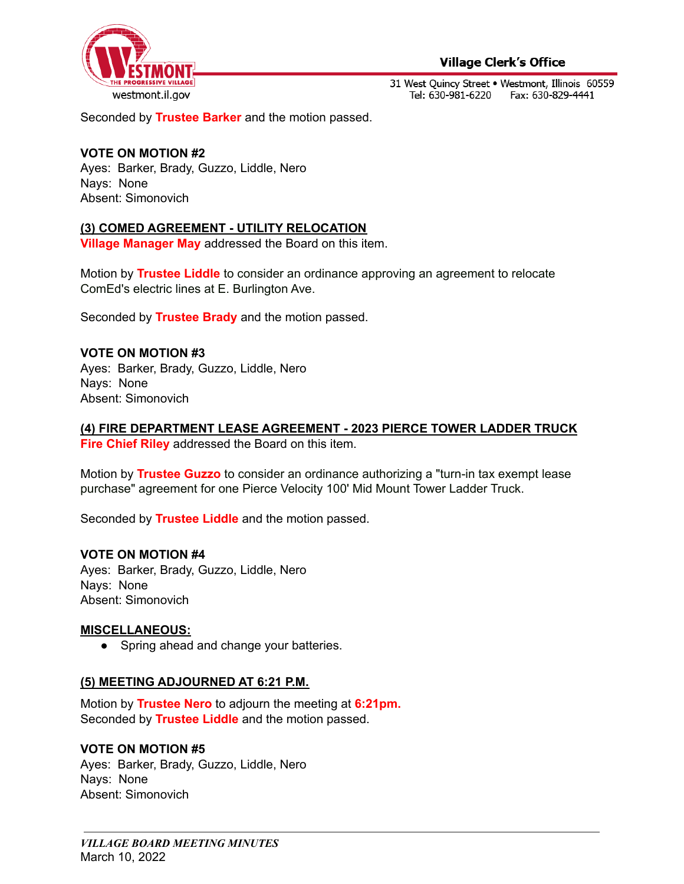

**Village Clerk's Office** 

31 West Quincy Street . Westmont, Illinois 60559 Tel: 630-981-6220 Fax: 630-829-4441

Seconded by **Trustee Barker** and the motion passed.

## **VOTE ON MOTION #2**

Ayes: Barker, Brady, Guzzo, Liddle, Nero Nays: None Absent: Simonovich

### **(3) COMED AGREEMENT - UTILITY RELOCATION**

**Village Manager May** addressed the Board on this item.

Motion by **Trustee Liddle** to consider an ordinance approving an agreement to relocate ComEd's electric lines at E. Burlington Ave.

Seconded by **Trustee Brady** and the motion passed.

### **VOTE ON MOTION #3**

Ayes: Barker, Brady, Guzzo, Liddle, Nero Nays: None Absent: Simonovich

# **(4) FIRE DEPARTMENT LEASE AGREEMENT - 2023 PIERCE TOWER LADDER TRUCK**

**Fire Chief Riley** addressed the Board on this item.

Motion by **Trustee Guzzo** to consider an ordinance authorizing a "turn-in tax exempt lease purchase" agreement for one Pierce Velocity 100' Mid Mount Tower Ladder Truck.

Seconded by **Trustee Liddle** and the motion passed.

#### **VOTE ON MOTION #4**

Ayes: Barker, Brady, Guzzo, Liddle, Nero Nays: None Absent: Simonovich

# **MISCELLANEOUS:**

• Spring ahead and change your batteries.

# **(5) MEETING ADJOURNED AT 6:21 P.M.**

Motion by **Trustee Nero** to adjourn the meeting at **6:21pm.** Seconded by **Trustee Liddle** and the motion passed.

#### **VOTE ON MOTION #5**

Ayes: Barker, Brady, Guzzo, Liddle, Nero Nays: None Absent: Simonovich